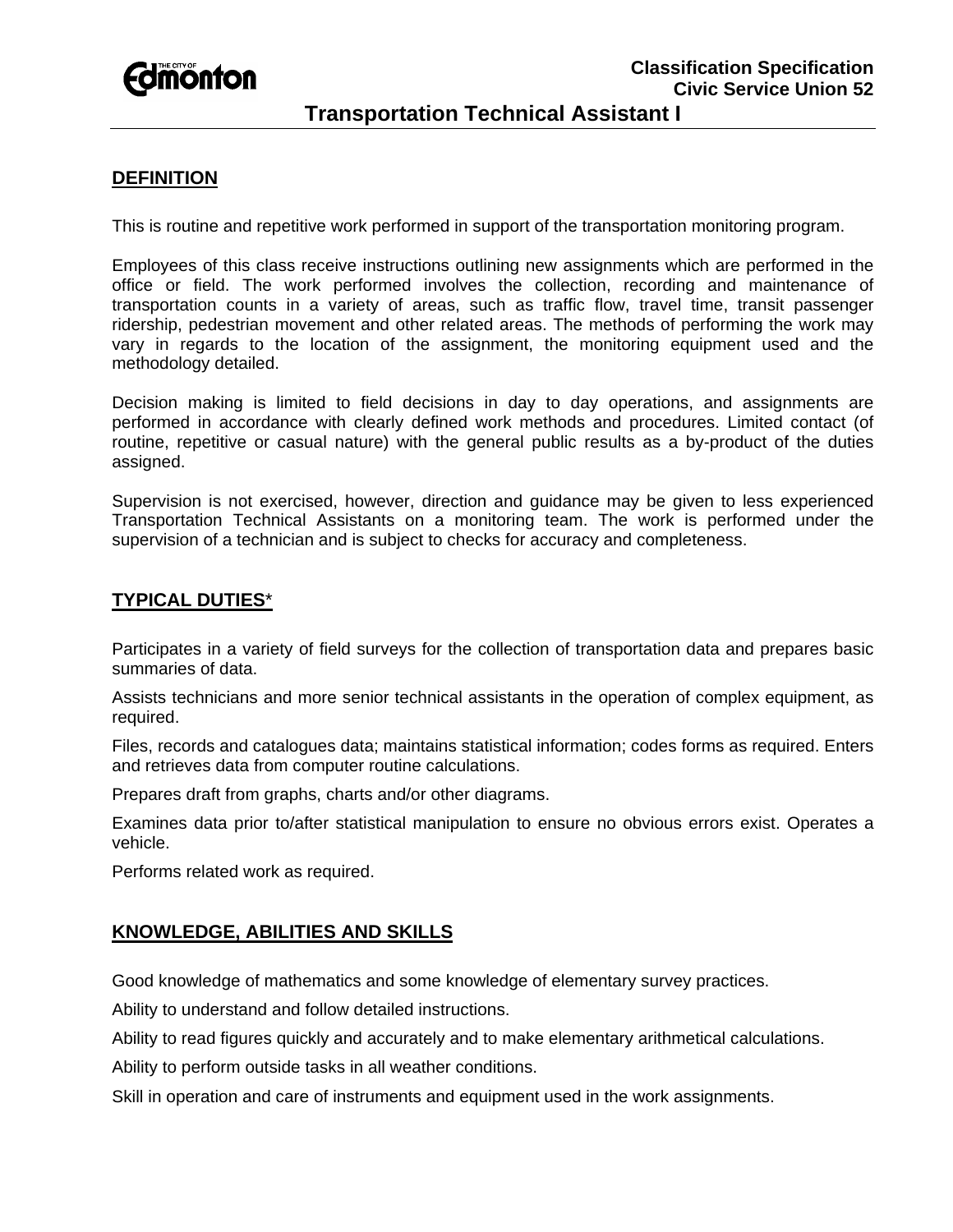

# **DEFINITION**

This is routine and repetitive work performed in support of the transportation monitoring program.

Employees of this class receive instructions outlining new assignments which are performed in the office or field. The work performed involves the collection, recording and maintenance of transportation counts in a variety of areas, such as traffic flow, travel time, transit passenger ridership, pedestrian movement and other related areas. The methods of performing the work may vary in regards to the location of the assignment, the monitoring equipment used and the methodology detailed.

Decision making is limited to field decisions in day to day operations, and assignments are performed in accordance with clearly defined work methods and procedures. Limited contact (of routine, repetitive or casual nature) with the general public results as a by-product of the duties assigned.

Supervision is not exercised, however, direction and guidance may be given to less experienced Transportation Technical Assistants on a monitoring team. The work is performed under the supervision of a technician and is subject to checks for accuracy and completeness.

# **TYPICAL DUTIES**\*

Participates in a variety of field surveys for the collection of transportation data and prepares basic summaries of data.

Assists technicians and more senior technical assistants in the operation of complex equipment, as required.

Files, records and catalogues data; maintains statistical information; codes forms as required. Enters and retrieves data from computer routine calculations.

Prepares draft from graphs, charts and/or other diagrams.

Examines data prior to/after statistical manipulation to ensure no obvious errors exist. Operates a vehicle.

Performs related work as required.

### **KNOWLEDGE, ABILITIES AND SKILLS**

Good knowledge of mathematics and some knowledge of elementary survey practices.

Ability to understand and follow detailed instructions.

Ability to read figures quickly and accurately and to make elementary arithmetical calculations.

Ability to perform outside tasks in all weather conditions.

Skill in operation and care of instruments and equipment used in the work assignments.